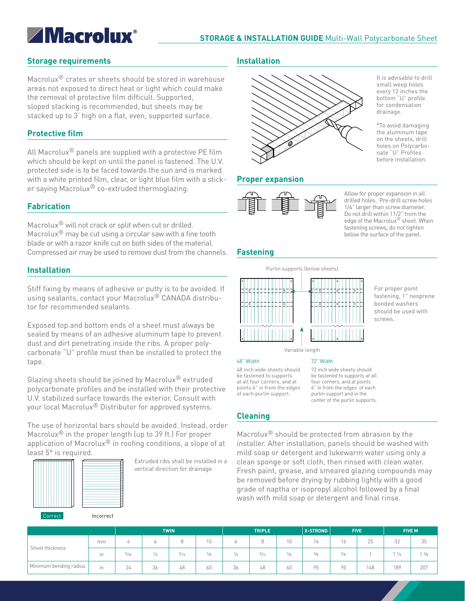# **ZMacrolux**®

# **Storage requirements**

Macrolux® crates or sheets should be stored in warehouse areas not exposed to direct heat or light which could make the removal of protective film difficult. Supported, sloped stacking is recommended, but sheets may be stacked up to 3' high on a flat, even, supported surface.

# **Protective film**

All Macrolux<sup>®</sup> panels are supplied with a protective PE film which should be kept on until the panel is fastened. The U.V. protected side is to be faced towards the sun and is marked with a white printed film, clear, or light blue film with a sticker saying Macrolux® co-extruded thermoglazing.

# **Fabrication**

Macrolux® will not crack or split when cut or drilled. Macrolux® may be cut using a circular saw with a fine tooth blade or with a razor knife cut on both sides of the material. Compressed air may be used to remove dust from the channels.

# **Installation**

Stiff fixing by means of adhesive or putty is to be avoided. If using sealants, contact your Macrolux® CANADA distributor for recommended sealants.

Exposed top and bottom ends of a sheet must always be sealed by means of an adhesive aluminum tape to prevent dust and dirt penetrating inside the ribs. A proper polycarbonate "U" profile must then be installed to protect the tape.

Glazing sheets should be joined by Macrolux® extruded polycarbonate profiles and be installed with their protective U.V. stabilized surface towards the exterior. Consult with your local Macrolux® Distributor for approved systems.

The use of horizontal bars should be avoided. Instead, order Macrolux® in the proper length (up to 39 ft.) For proper application of Macrolux® in roofing conditions, a slope of at least 5° is required.



Extruded ribs shall be installed in a vertical direction for drainage.

# **Installation**



# **Proper expansion**



Allow for proper expansion in all drilled holes. Pre-drill screw holes 1/4" larger than screw diameter. Do not drill within 11/2" from the edge of the Macrolux® sheet. When fastening screws, do not tighten below the surface of the panel.

It is advisable to drill small weep holes every 12 inches the bottom "U" profile for condensation drainage.

\*To avoid damaging the aluminum tape on the sheets, drill holes on Polycarbonate "U" Profiles before installation.

# **Fastening**



For proper point fastening, 1" neoprene bonded washers should be used with screws.

#### 72" Width

72 inch wide sheets should be fastened to supports at all four corners, and at points 6" in from the edges of each purlin support and in the center of the purlin supports.

48 inch wide sheets should be fastened to supports at all four corners, and at points 6" in from the edges of each purlin support.

# **Cleaning**

48" Width

Macrolux® should be protected from abrasion by the installer. After installation, panels should be washed with mild soap or detergent and lukewarm water using only a clean sponge or soft cloth, then rinsed with clean water. Fresh paint, grease, and smeared glazing compounds may be removed before drying by rubbing lightly with a good grade of naptha or isopropyl alcohol followed by a final wash with mild soap or detergent and final rinse.

|                        |     |                | <b>TWIN</b> |                | <b>TRIPLE</b> |               |      | <b>X-STRONG</b> | <b>FIVE</b>  |          | <b>FIVE M</b> |                 |                 |
|------------------------|-----|----------------|-------------|----------------|---------------|---------------|------|-----------------|--------------|----------|---------------|-----------------|-----------------|
| Sheet thickness        | mm  | 4              | Ò           | Q<br>U         | 10            |               |      | 10              | $\sim$<br>16 | 16       | 25            | 32              | 35              |
|                        | in. | $\frac{5}{32}$ | 1/4         | $\frac{5}{16}$ | 3/8           | $\frac{1}{4}$ | 5/16 | $^{3}/_{8}$     | $^{5/8}$     | $^{5/8}$ |               | $1 \frac{1}{4}$ | $1 \frac{3}{8}$ |
| Minimum bending radius | in. | 24             | 36          | 48             | 60            | 36            | 48   | 60              | 95           | 95       | 148           | 189             | 207             |